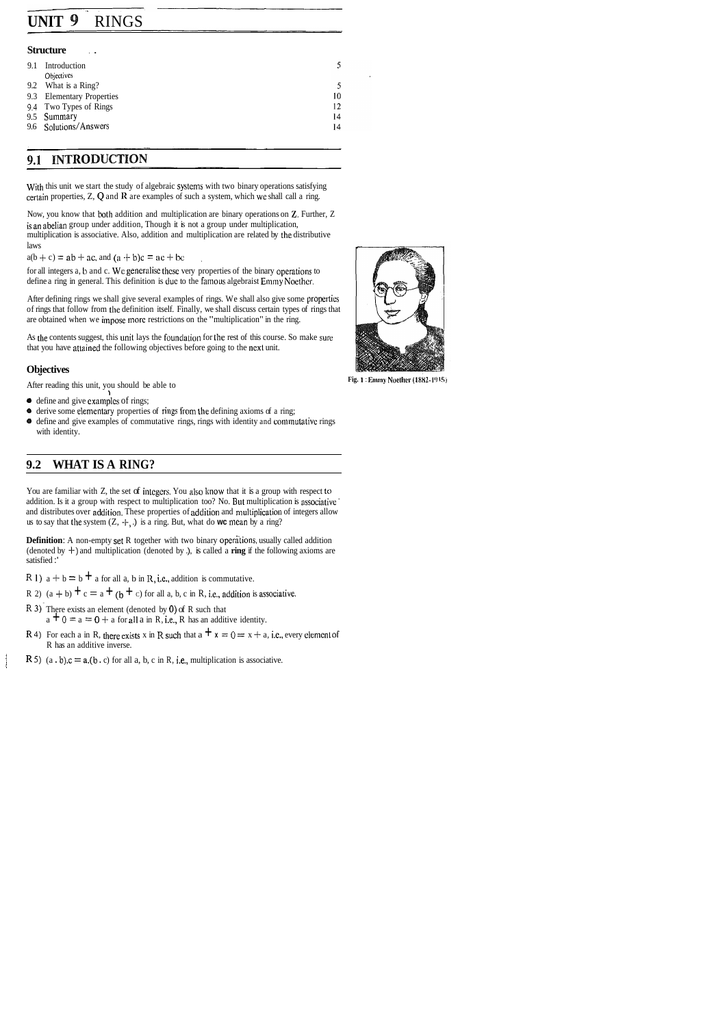## **UNIT 9** RINGS

#### **Structure**

| 9.1 | Introduction                 |    |
|-----|------------------------------|----|
|     | <b>Objectives</b>            |    |
|     | 9.2 What is a Ring?          |    |
| 9.3 | <b>Elementary Properties</b> | 10 |
|     | 9.4 Two Types of Rings       | 12 |
|     | 9.5 Summary                  | 14 |
|     | 9.6 Solutions/Answers        | 14 |
|     |                              |    |

## **9.1 INTRODUCTION**

With this unit we start the study of algebraic systems with two binary operations satisfying certain properties, Z, *Q* and **R** are examples of such a system, which we shall call a ring.

After defining rings we shall give several examples of rings. We shall also give some propertics of rings that follow from the definition itself. Finally, we shall discuss certain types of rings that are obtained when we impose more restrictions on the "multiplication" in the ring.

Now, you know that both addition and multiplication are binary operations on **Z.** Further, Z is an abelian group under addition, Though it is not a group under multiplication, multiplication is associative. Also, addition and multiplication are related by the distributive laws

 $a(b + c) = ab + ac$ , and  $(a + b)c = ac + bc$ 

for all integers a, b and c. We generalise these very properties of the binary operations to define a ring in general. This definition is due to the famous algebraist Emmy Noether.

As the contents suggest, this unit lays the foundation for the rest of this course. So make sure that you have attaincd the following objectives before going to the next unit.

#### **Objectives**

- define and give examples of rings;
- $\bullet$  derive some elementary properties of rings from the defining axioms of a ring;
- $\bullet$  define and give examples of commutative rings, rings with identity and commutative rings with identity.

**Definition:** A non-empty set R together with two binary operations, usually called addition (denoted by  $+$ ) and multiplication (denoted by .), is called a **ring** if the following axioms are satisfied :'

- R 1) a + b = b  $\pm$  a for all a, b in R, i.e., addition is commutative.
- R 2) (a + b)  $\pm c = a + (b + c)$  for all a, b, c in R, i.e., addition is associative.
- R 3) There exists an element (denoted by 0) of R such that <br>a  $\pm 0 = a = 0 + a$  for all a in R, i.e., R has an additive identity.
- R 4) For each a in R, there exists x in R such that  $a + x = 0 = x + a$ , i.e., every element of R has an additive inverse.
- **R** 5)  $(a, b)$ .c =  $a$ . $(b, c)$  for all a, b, c in R, i.e., multiplication is associative.

After reading this unit, you should be able to

## **9.2 WHAT IS A RING?**

You are familiar with Z, the set of integers. You also know that it is a group with respect to addition. Is it a group with respect to multiplication too? No. But multiplication is nssociative ' and distributes over addition. These properties of addition and multiplication of integers allow us to say that the system  $(Z, +, .)$  is a ring. But, what do **wc** mean by a ring?



**Fig. 1** : **EIIII~IY NucIRL'I. (1882-1'4 151** 

(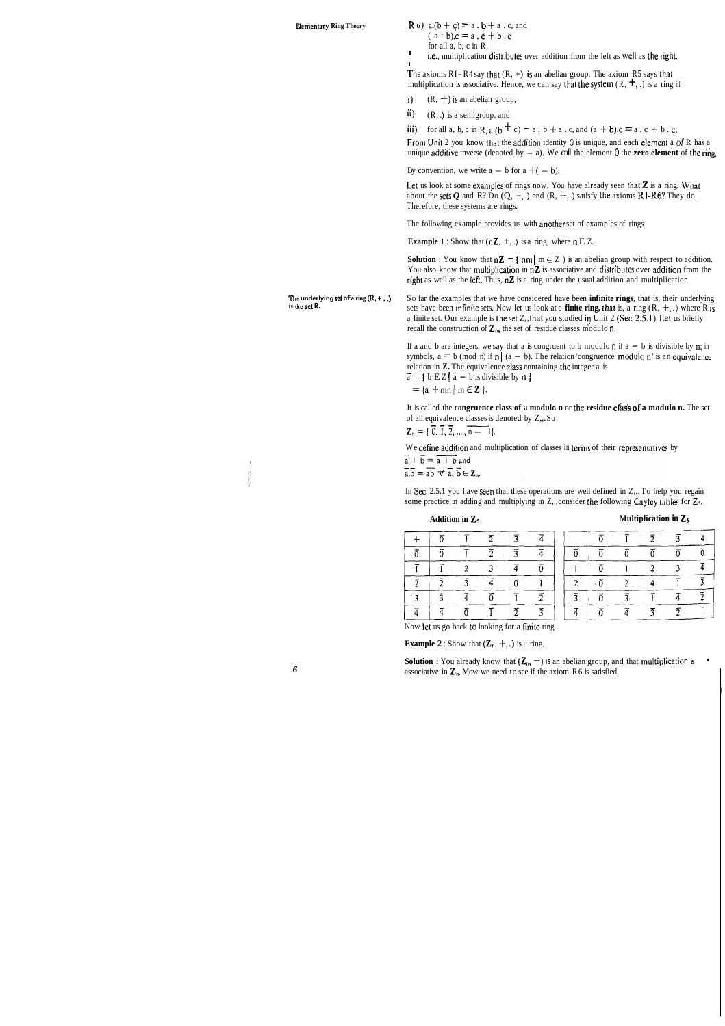**Elementary Ring Theory R** *6*) **a.**( $b + c$ ) = a .  $b + a$  . c, and  $(a \t b).c = a \t b + b \t c$ 

for all a, b, c in R,

I

<sup>1</sup> i.e., multiplication distributes over addition from the left as well as the right.

The axioms  $RI-R4$  say that  $(R, +)$  is an abelian group. The axiom R5 says that multiplication is associative. Hence, we can say that the system  $(R, +, \cdot)$  is a ring if

- i)  $(R, +)$  is an abelian group,
- ii)  $(R, .)$  is a semigroup, and

iii) for all a, b, c in **R**,  $a.(b + c) = a \cdot b + a \cdot c$ , and  $(a + b)c = a \cdot c + b \cdot c$ .

From Unit 2 you know that the addition identity 0 is unique, and each element a **d** R has a unique additive inverse (denoted by  $-$  a). We call the element 0 the **zero element** of the ring.

By convention, we write  $a - b$  for  $a + (-b)$ .

Let us look at some examples of rings now. You have already seen that  $Z$  is a ring. What about the sets  $Q$  and R? Do  $(Q, +, \cdot)$  and  $(R, +, \cdot)$  satisfy the axioms R1-R6? They do. Therefore, these systems are rings.

The following example provides us with another set of examples of rings

**Example 1** : Show that  $(nZ, +, .)$  is a ring, where  $n \to Z$ .

**Solution :** You know that  $nZ = \{ nm | m \in Z \}$  is an abelian group with respect to addition. You also know that multiplication in  $nZ$  is associative and distributes over addition from the right as well as the left. Thus,  $nZ$  is a ring under the usual addition and multiplication.

sets have been infinite sets. Now let us look at a **finite ring, that** is, a ring  $(R, +, .)$  where R is a finite set. Our example is the set Z,, that you studied in Unit 2 (Sec. 2.5.1). Let us briefly

**The underlying set of a ring**  $(R, +, \cdot)$  So far the examples that we have considered have been **infinite rings**, that is, their underlying is the set  $R$ .

recall the construction of  $\mathbb{Z}_n$ , the set of residue classes modulo n. If a and b are integers, we say that a is congruent to b modulo n if  $a - b$  is divisible by n; in symbols,  $a \equiv b \pmod{n}$  if  $n | (a - b)$ . The relation 'congruence modulo n' is an equivalence

relation in **Z.** The equivalence class containing the integer a is  $\bar{a} = b$  **b E**  $\bar{z}$  **l**  $a - b$  is divisible by **n s**  $\overline{a} = \{ b E Z \mid a - b \text{ is divisible by } n \}$ 

 $=$  {a + mn | m  $\in$  Z }.

It is called the **congruence class of a modulo n** or the **residue crass of a modulo n.** The set relation in **Z.** The equivalence class containing<br>  $\tilde{a} = \{ b E Z \mid a - b \text{ is divisible by } n \}$ <br>  $= \{ a + m n \mid m \in \mathbb{Z} \}$ .<br>
It is called the **congruence class of a modulo**<br>
of all equivalence classes is denoted by Z,.. So<br>  $\mathbb{Z}_n = \{ \overline{$ of all equivalence classes is denoted by Z,..So<br> $\mathbf{Z}_n = \{ \overline{0}, \overline{1}, \overline{2}, \dots, \overline{n} - 1 \}.$ 

We define addition and multiplication of classes in terms of their representatives by

 $\overline{a} + \overline{b} = \overline{a + b}$  and

 $\overline{a}.\overline{b} = \overline{ab} \ \forall \ \overline{a}, \overline{b} \in \mathbb{Z}_n.$ 

In Sec. 2.5.1 you have seen that these operations are well defined in  $Z_{n}$ . To help you regain some practice in adding and multiplying in  $Z_{n}$ , consider the following Cayley tables for  $Z_{\gamma}$ .

#### **Addition in** Zs **Multiplication in** Zs

|  |  |  |  | Multiplication in $\mathcal{L}_5$ |  |  |
|--|--|--|--|-----------------------------------|--|--|
|--|--|--|--|-----------------------------------|--|--|

 $\overline{2}$ 

 $\overline{0}$ 

 $\overline{\overline{2}}$ 

 $\overline{4}$ 

 $\overline{1}$  $\overline{3}$ 

Now let us go back to looking for a finite ring.

**Example 2** : Show that  $(\mathbb{Z}_n, +, \cdot)$  is a ring.

**Solution :** You already know that  $(\mathbb{Z}_n, +)$  is an abelian group, and that multiplication is 6 **6 associative in**  $\mathbb{Z}_n$ **. Mow we need to see if the axiom R6 is satisfied.** 

I

 $\overline{4}$ 

 $\overline{0}$ 

 $\overline{4}$ 

 $\overline{3}$ 

 $\overline{2}$ 

 $\overline{I}$ 

 $\overline{3}$ 

 $\overline{0}$ 

 $\overline{3}$ 

 $\overline{1}$ 

 $\overline{4}$ 

 $\overline{2}$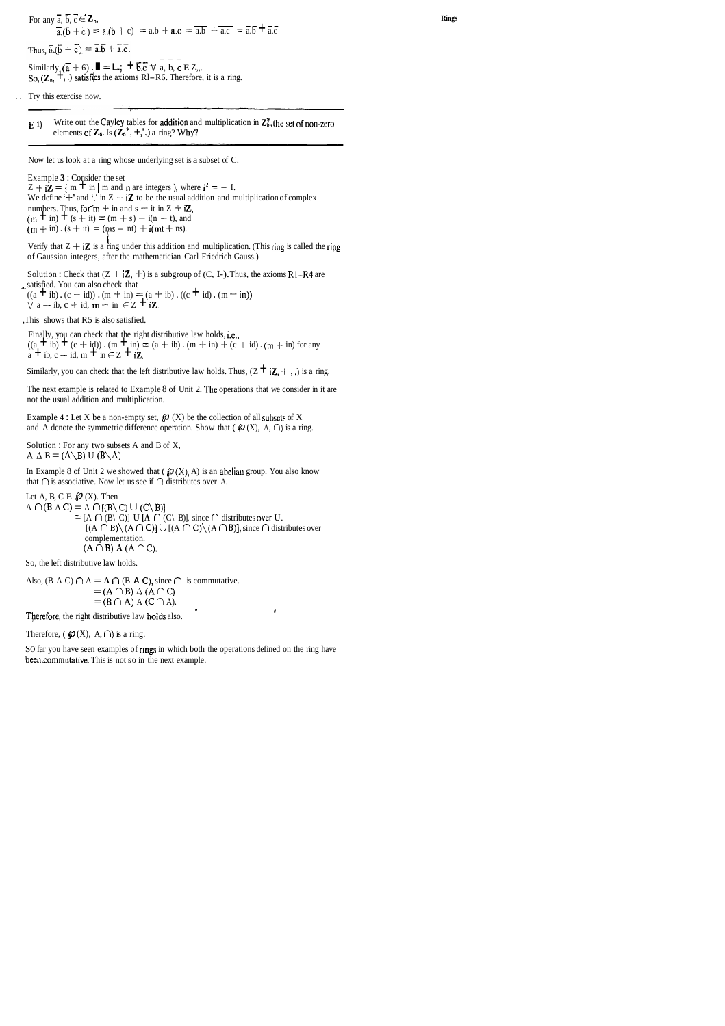For any  $\overline{a}$ ,  $\overline{b}$ ,  $\overline{c} \in \mathbb{Z}_n$ ,  $\overline{a}$ ,  $\overline{b}$  +  $\overline{c}$ ) =  $\overline{a}$ ,  $\overline{b}$  + c) =  $\overline{a}$ ,  $\overline{b}$  +  $\overline{a}$ ,  $\overline{c}$  =  $\overline{a}$ ,  $\overline{b}$  +  $\overline{a}$ ,  $\overline{c}$  =  $\overline{a}$ ,  $\overline{b}$  +  $\overline{a}$ ,  $\overline{c}$ 

Thus,  $\overline{a} \cdot (\overline{b} + \overline{c}) = \overline{a} \cdot \overline{b} + \overline{a} \cdot \overline{c}$ .<br>
Similarly,  $(\overline{a} + 6)$ .  $\blacksquare = \blacksquare$ ;  $\vdash \overline{b} \cdot \overline{c}$   $\forall a, b, c \in \mathbb{Z}$ ,..<br>
So,  $(\mathbb{Z}_n, \mathbb{Z}_n)$  satisfies the axioms Rl-R6. Therefore, it is a ring.

Try this exercise now.

**E 1**) Write out the Cayley tables for addition and multiplication in  $\mathbb{Z}_6^*$ , the set of non-zero elements of  $\mathbb{Z}_6$ . Is  $(\mathbb{Z}_6^*, +, \cdot)$  a ring? Why?

Now let us look at a ring whose underlying set is a subset of C.

Example **3** : Consider the set

 $Z + i\bar{Z} = \{ m + \text{in} \mid m \text{ and } n \text{ are integers } \}$ , where  $i^2 = -1$ . We define '+' and '.' in  $Z + iZ$  to be the usual addition and multiplication of complex numbers. Thus, for  $m + in$  and  $s + it$  in  $Z + iZ$ ,  $(m + in) + (s + it) = (m + s) + i(n + t)$ , and  $(m + in)$ .  $(s + it) = (ms - nt) + i(mt + ns)$ .

Verify that  $Z + iZ$  is a ring under this addition and multiplication. (This ring is called the ring of Gaussian integers, after the mathematician Carl Friedrich Gauss.)

Solution : Check that  $(Z + iZ, +)$  is a subgroup of  $(C, I-)$ . Thus, the axioms RI-R4 are \_. satisfied. You can also check that  $((a + ib) \cdot (c + id)) \cdot (m + in) = (a + ib) \cdot ((c + id) \cdot (m + in))$  $\forall$  a + ib, c + id, m + in  $\in$  Z + iZ.

Finally, you can check that the right distributive law holds, i.e.,  $((a + ib) + (c + id))$ .  $(m + in) = (a + ib)$ .  $(m + in) + (c + id)$ .  $(m + in)$  for any  $a + ib$ ,  $c + id$ ,  $m + in \in \mathbb{Z} + i\mathbb{Z}$ .

Similarly, you can check that the left distributive law holds. Thus,  $(Z + iZ, +, \cdot)$  is a ring.

The next example is related to Example 8 of Unit 2. The operations that we consider in it are not the usual addition and multiplication.

Example 4 : Let X be a non-empty set,  $\mathcal{O}(X)$  be the collection of all subsets of X and A denote the symmetric difference operation. Show that  $(\mathcal{D}(X), A, \cap)$  is a ring.

Solution : For any two subsets A and B of X, A  $\Delta$  B = (A\B) U (B\A)

In Example 8 of Unit 2 we showed that  $(\mathcal{O}(X), A)$  is an abelian group. You also know that  $\cap$  is associative. Now let us see if  $\cap$  distributes over A.

Let A, B, C E  $\mathcal{P}(X)$ . Then  $A \cap (B \land C) = A \cap [(B \setminus C) \cup (C \setminus B)]$  $= [A \cap (B \setminus C)]$  U  $[A \cap (C \setminus B)]$ , since  $\cap$  distributes over U.  $= [(A \cap B) \setminus (A \cap C)] \cup [(A \cap C) \setminus (A \cap B)]$ , since  $\cap$  distributes over complementation.  $= (A \cap B) A (A \cap C).$ 

,This shows that R5 is also satisfied.

So, the left distributive law holds.

Also, (B A C)  $\cap$  A = A  $\cap$  (B A C), since  $\cap$  is commutative.  $= (A \cap B) \triangle (A \cap C)$  $= (B \cap A) A (C \cap A).$ 

**<sup>I</sup>**Therefore, the right distributive law holds also. '

Therefore,  $(\mathcal{O}(X), A, \cap)$  is a ring.

SO' far you have seen examples of rings in which both the operations defined on the ring have been commutative. This is not so in the next example.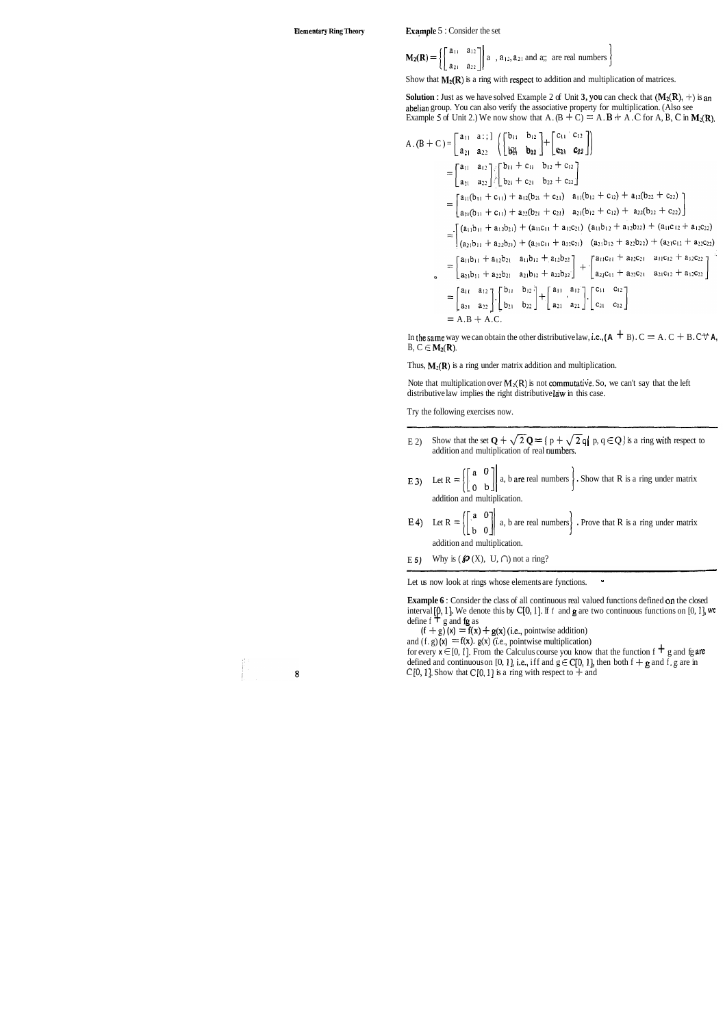**Elementary Ring Theory** Example 5 : Consider the set

$$
\mathbf{M_2(R)} = \left\{ \begin{bmatrix} a_{11} & a_{12} \\ a_{21} & a_{22} \end{bmatrix} \middle| a_1, a_{12}, a_{21} \text{ and a}; \text{ are real numbers} \right\}
$$

Show that  $M_2(R)$  is a ring with respect to addition and multiplication of matrices.

**Solution :** Just as we have solved Example 2 of Unit **3**, **you** can check that  $(M_2(R), +)$  is an abelian group. You can also verify the associative property for multiplication. (Also see Example 5 of Unit 2.) We now show that A.  $(B + C) = A$ .  $B + A$ . C for A, B, C in M<sub>2</sub>(R).

Note that multiplication over  $M_2(R)$  is not commutative. So, we can't say that the left distributive law implies the right distributive law in this case.

$$
A.(B + C) =\begin{bmatrix} a_{11} & a_{11} \\ a_{21} & a_{22} \end{bmatrix} \begin{bmatrix} b_{11} & b_{12} \\ b_{21} & b_{22} \end{bmatrix} + \begin{bmatrix} c_{11} & c_{12} \\ c_{21} & c_{22} \end{bmatrix}
$$
  
\n
$$
= \begin{bmatrix} a_{11} & a_{12} \\ a_{21} & a_{22} \end{bmatrix} \begin{bmatrix} b_{11} + c_{11} & b_{12} + c_{12} \\ b_{21} + c_{21} & b_{22} + c_{22} \end{bmatrix}
$$
  
\n
$$
= \begin{bmatrix} a_{11}(b_{11} + c_{11}) + a_{12}(b_{21} + c_{21}) & a_{11}(b_{12} + c_{12}) + a_{12}(b_{22} + c_{22}) \\ a_{21}(b_{11} + c_{11}) + a_{22}(b_{21} + c_{21}) & a_{21}(b_{12} + c_{12}) + a_{22}(b_{22} + c_{22}) \end{bmatrix}
$$
  
\n
$$
= \begin{bmatrix} (a_{11}b_{11} + a_{12}b_{21}) + (a_{11}c_{11} + a_{12}c_{21}) & (a_{11}b_{12} + a_{12}b_{22}) + (a_{11}c_{12} + a_{12}c_{22}) \\ (a_{21}b_{11} + a_{22}b_{21}) + (a_{21}c_{11} + a_{22}c_{21}) & (a_{21}b_{12} + a_{22}b_{22}) + (a_{21}c_{12} + a_{22}c_{22}) \end{bmatrix}
$$
  
\n
$$
= \begin{bmatrix} a_{11}b_{11} + a_{12}b_{21} & a_{11}b_{12} + a_{12}b_{22} \\ a_{21}b_{11} + a_{22}b_{21} & a_{21}b_{12} + a_{22}b_{22} \end{bmatrix} + \begin{bmatrix} a_{11}c_{11} + a_{12}c_{21} & a_{11}c_{12} + a_{12}c_{22} \\ a_{21}c_{11} + a
$$

In the same way we can obtain the other distributive law, i.e.,  $(A \oplus B)$ .  $C = A$ .  $C + B$ .  $C \forall A$ , B,  $C \in M_2(R)$ .

Thus,  $M_2(R)$  is a ring under matrix addition and multiplication.

**E** 4) Let  $R = \begin{bmatrix} 1 & 0 \\ 0 & 1 \end{bmatrix}$  a, b are real numbers . Prove that R is a ring under matrix I

**Example 6** : Consider the class of all continuous real valued functions defined on the closed interval  $[0, 1]$ . We denote this by  $C[0, 1]$ . If f and g are two continuous functions on  $[0, 1]$ , we define f  $\pm$  g and fg as

 $(f + g)(x) = f(x) + g(x)$  (i.e., pointwise addition)

and  $(f, g)$   $(x) = f(x)$ .  $g(x)$  *(i.e., pointwise multiplication)* 

for every  $x \in [0, 1]$ . From the Calculus course you know that the function f  $\pm$  g and fg are defined and continuous on [0, 1], i.e., iff and  $g \in C[0, 1]$ , then both  $f + g$  and  $f$ . g are in C[0, 1]. Show that C[0, 1] is a ring with respect to  $+$  and

 $\bf{8}$ 

事。

Try the following exercises now.

E 2) Show that the set  $Q + \sqrt{2}Q = \{ p + \sqrt{2}q \mid p, q \in Q \}$  is a ring with respect to addition and multiplication of real numbers.

**E 3)** Let 
$$
R = \left\{ \begin{bmatrix} a & 0 \\ 0 & b \end{bmatrix} \right\}
$$
 a, b are real numbers. Show that R is a ring under matrix addition and multiplication.

addition and multiplication.

E 5) Why is  $(\mathcal{P}(X), U, \cap)$  not a ring?

Let us now look at rings whose elements are fynctions.  $\cdot$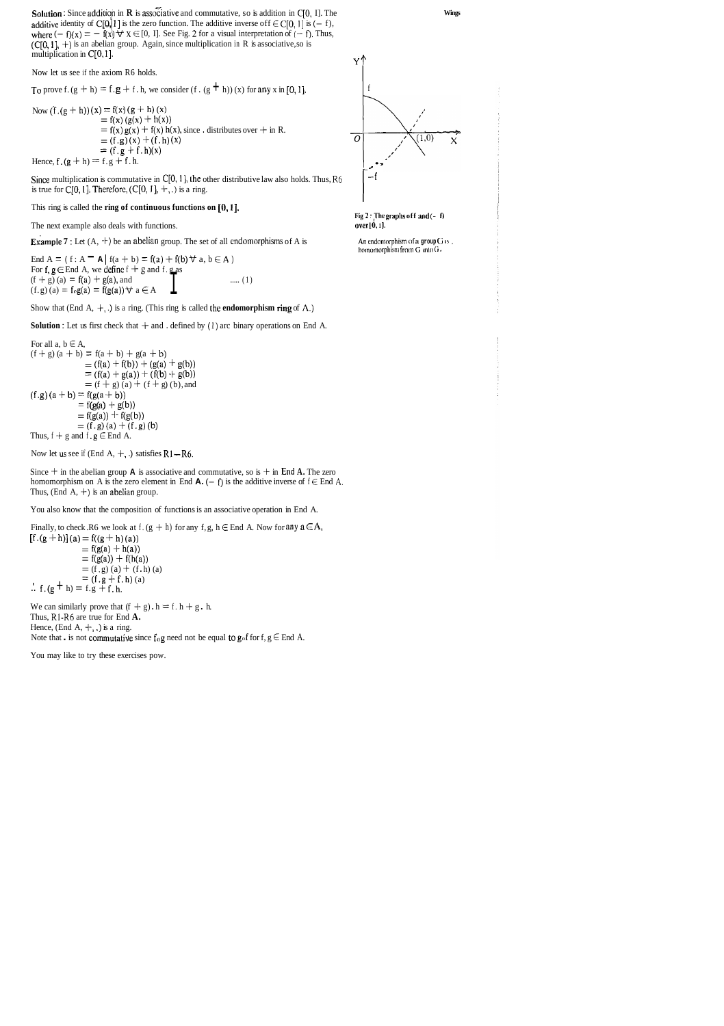**Solution :** Since addition in **R** is associative and commutative, so is addition in C[0, I]. The additive identity of C[O, || ] is the zero function. The additive inverse of  $f \in C[0, 1]$  is  $(-f)$ , where  $(-f)(x) = -f(x) \forall x \in [0, 1]$ . See Fig. 2 for a visual interpretation of  $(-f)$ . Thus,  $(C[0, 1], +)$  is an abelian group. Again, since multiplication in R is associative, so is multiplication in C[O, 1].  $\mathbf{Y}^{\mathbf{A}}$ 

Now let us see if the axiom R6 holds.

To prove f.  $(g + h) = f$ ,  $g + f$ . h, we consider  $(f \cdot (g + h))$  (x) for any x in [0, 1].

Now  $(f (g + h))(x) = f(x) (g + h)(x)$  $= f(x) (g(x) + h(x))$  $= f(x) g(x) + f(x) h(x)$ , since . distributes over + in R.  $=$  (f.g) (x) + (f.h) (x) 0  $= (f.g + f.h)(x)$  $\begin{array}{l}\n \begin{array}{c}\n = (1, g) (x) + (1, h) (x) \\
 = (f. g + f. h)(x)\n \end{array}\n \end{array}$ Hence, f. (g + h) = f.g + f. h.

Since multiplication is commutative in  $C[0, 1]$ , the other distributive law also holds. Thus, R6 is true for C[0, 1]. Therefore,  $(C[0, 1], +, \cdot)$  is a ring.



#### This ring is called the **ring of continuous functions on** *[O,* **I].**

The next example also deals with functions.

**Example 7**: Let  $(A, +)$  be an abelian group. The set of all endomorphisms of A is **An endomorphism of a** group *G* is,

End A = ( $f: A - A | f(a + b) = f(a) + f(b) \forall a, b \in A$ ) For f,  $g \in$  End A, we define  $f + g$  and f. g as<br>  $(f + g)$  (a) = f(a) + g(a), and End A = (f: A  $\blacksquare$  A | f(a + b) = f(a) + f(b)  $\forall$  a, b  $\in$  A )<br>For f, g  $\in$  End A, we define f + g and f. g as<br>(f + g) (a) = f(a) + g(a), and <br>(f.g) (a) = f<sub>0</sub>g(a) = f(g(a))  $\forall$  a  $\in$  A  $\blacksquare$  ..... (1)  $(f. g)$  (a) =  $f \circ g(a) = f(g(a)) \forall a \in A$ 





**r-**

**Fig 2 : The graphs off and**  $(- 0)$ **over**  $\left[0, 1\right]$ .

homomorphism from G into G.

Show that (End A, +, .) is a ring. (This ring is called the **endomorphism ring** of **A.)** 

**Solution :** Let us first check that  $+$  and . defined by (1) arc binary operations on End A.

For all a,  $b \in A$ ,  $(f+ g) (a + b) = f(a + b) + g(a + b)$ <br>=  $(f(a) + f(b)) + (g(a) + g(b))$  $= (f(a) + g(a)) + (f(b) + g(b))$ <br>= (f + g) (a) + (f + g) (b), and  $(f.g) (a + b) = f(g(a + b))$  $= f(g(a) + g(b))$  $=$  f(g(a)) + f(g(b))  $= (f. g) (a) + (f. g) (b)$ Thus,  $f + g$  and  $f$ ,  $g \in$  End A.

Now let us see if (End A,  $+$ , .) satisfies  $R1 - R6$ .

Since  $+$  in the abelian group **A** is associative and commutative, so is  $+$  in End **A**. The zero homomorphism on A is the zero element in End  $\mathbf{A}$ .  $(- \mathbf{f})$  is the additive inverse of  $\mathbf{f} \in$  End A. Thus, (End A,  $+$ ) is an abelian group.

You also know that the composition of functions is an associative operation in End A.

Finally, to check .R6 we look at f.  $(g + h)$  for any f, g,  $h \in$  End A. Now for any  $a \in A$ ,  $[f (g + h)] (a) = f((g + h) (a))$  $=$  f(g(a) + h(a))  $=$  f(g(a)) + f(h(a))  $=$  (f, g) (a) + (f, h) (a)  $= (f.g + f.h)(a)$ .'.  $f.(g + h) = f.g + f.h.$ 

We can similarly prove that  $(f + g) \cdot h = f \cdot h + g \cdot h$ . Thus, R1-R6 are true for End **A.**  Hence, (End A,  $+$ , .) is a ring. Note that . is not commutative since  $f_{\alpha}g$  need not be equal to  $g_{\alpha}f$  for  $f, g \in$  End A.

You may like to try these exercises pow.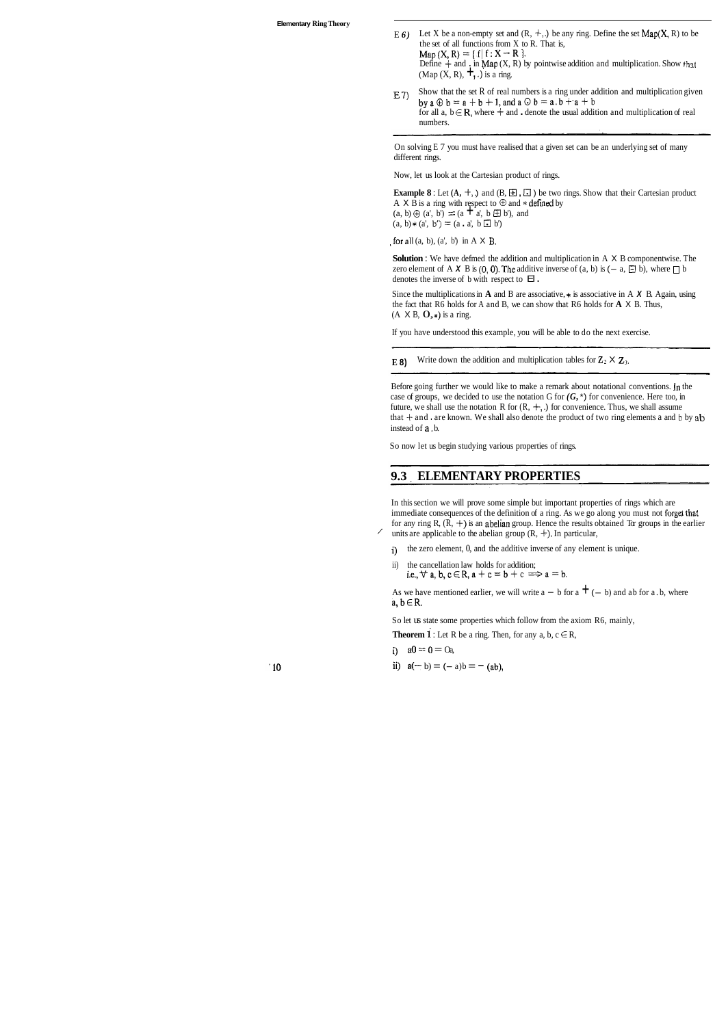- E 6) Let X be a non-empty set and  $(R, +, \cdot)$  be any ring. Define the set  $Map(X, R)$  to be the set of all functions from  $X$  to  $R$ . That is,  $Map(X, R) = \{f | f: X - R\}.$ Define  $+$  and  $\cdot$  in Map (X, R) by pointwise addition and multiplication. Show that (Map  $(X, R)$ ,  $\boldsymbol{+}$ , .) is a ring.
- $E$  7) Show that the set R of real numbers is a ring under addition and multiplication given by  $a \oplus b = a + b + 1$ , and  $a \odot b = a \cdot b + a + b$ for all a,  $b \in \mathbb{R}$ , where  $+$  and . denote the usual addition and multiplication of real numbers.

On solving E 7 you must have realised that a given set can be an underlying set of many different rings.

**Solution** : We have defmed the addition and multiplication in A X B componentwise. The zero element of A **X** B is  $(0, 0)$ . The additive inverse of  $(a, b)$  is  $(-a, \Box b)$ , where  $\Box b$ denotes the inverse of b with respect to  $\mathsf{E}$ .

Since the multiplications in **A** and **B** are associative,  $*$  is associative in A **X B**. Again, using the fact that R6 holds for A and B, we can show that R6 holds for **A** X B. Thus,  $(A \times B, O,*)$  is a ring.

Now, let us look at the Cartesian product of rings.

**Example 8**: Let  $(A, +,.)$  and  $(B, \boxplus, \boxplus)$  be two rings. Show that their Cartesian product A X B is a ring with respect to  $\oplus$  and \* defined by  $(a, b) \oplus (a', b') = (a + a', b \oplus b')$ , and  $(a, b) * (a', b') = (a \cdot a', b \cdot b')$ 

,for a11 (a, b), (a', b') in A X **B.** 

In this section we will prove some simple but important properties of rings which are immediate consequences of the definition of a ring. As we go along you must not forget that for any ring R,  $(R, +)$  is an abelian group. Hence the results obtained Tor groups in the earlier  $\ell$  units are applicable to the abelian group  $(R, +)$ . In particular,

- i) the zero element, 0, and the additive inverse of any element is unique.
- ii) the cancellation law holds for addition; i.e.,  $\forall$  a, b, c  $\in$  R, a + c = b + c  $\Rightarrow$  a = b.

As we have mentioned earlier, we will write  $a - b$  for  $a + (-b)$  and ab for a.b, where  $a, b \in R$ .

So let us state some properties which follow from the axiom R6, mainly,

**Theorem 1** : Let R be a ring. Then, for any  $a, b, c \in R$ ,

- i)  $a0 = 0 = 0a$ ,
- ii)  $a(-b) = (-a)b = -(ab)$ ,

If you have understood this example, you will be able to do the next exercise.

**E** 8) Write down the addition and multiplication tables for  $\mathbb{Z}_2 \times \mathbb{Z}_3$ .

Before going further we would like to make a remark about notational conventions. in the case of groups, we decided to use the notation G for  $(G, \star)$  for convenience. Here too, in future, we shall use the notation R for  $(R, +, .)$  for convenience. Thus, we shall assume that  $+$  and . are known. We shall also denote the product of two ring elements a and b by ab instead of a, b.

So now let us begin studying various properties of rings.

#### **9.3 ELEMENTARY PROPERTIES**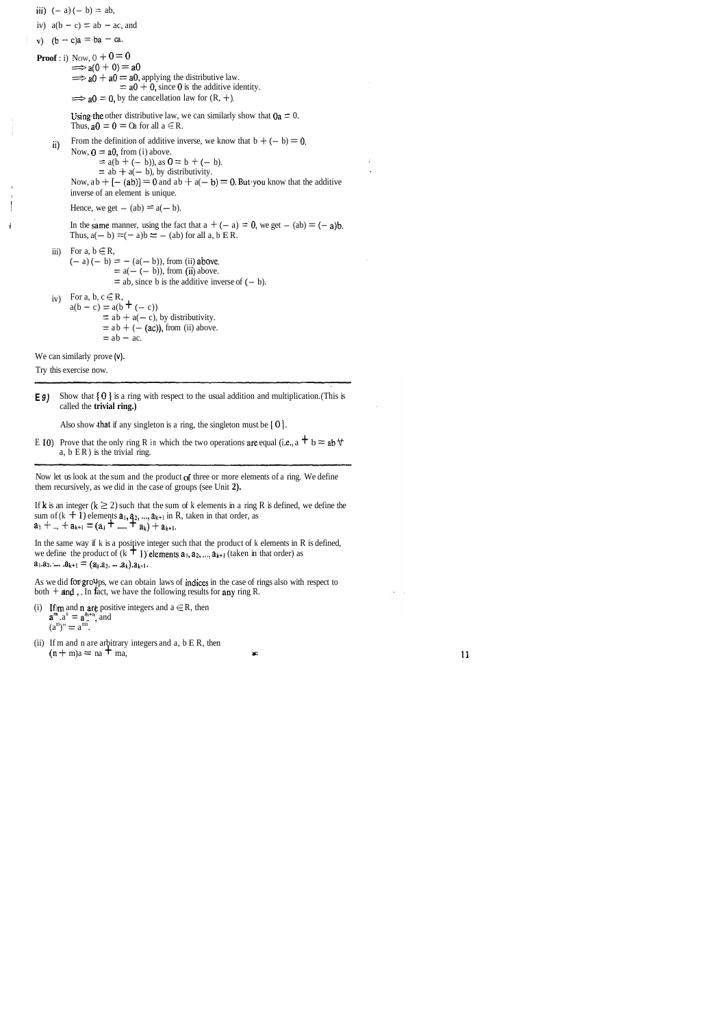**E <b>9**) Show that { 0 } is a ring with respect to the usual addition and multiplication. (This is called the **trivial ring.)** 

Also show that if any singleton is a ring, the singleton must be  $\{0\}$ .

E 10) Prove that the only ring R in which the two operations are equal (i.e., a  $\pm$  b = ab $\pm$ a,  $b$  ER) is the trivial ring.

Now let us look at the sum and the product of three or more elements of a ring. We define them recursively, as we did in the case of groups (see Unit **2).** 

If **k** is an integer  $(k \ge 2)$  such that the sum of k elements in a ring R is defined, we define the If **k** is an integer  $(k \ge 2)$  such that the sum of k elements in a ring sum of  $(k + 1)$  elements  $\mathbf{a}_1$ ,  $\mathbf{a}_2$ , ...,  $\mathbf{a}_{k+1}$  in R, taken in that order, as  $\mathbf{a}_1 + ... + \mathbf{a}_{k+1} = (\mathbf{a}_1 + ... + \mathbf{a}_k) + \mathbf{a}_{k+1}$ .

In the same way if k is a positive integer such that the product of k elements in R is defined, we define the product of  $(k + 1)$  elements  $a_1, a_2, ..., a_{k+1}$  (taken in that order) as  $a_1.a_2. \dots .a_{k+1} = (a_0.a_2. \dots .a_k).a_{k+1}.$ 

As we did for  $groYps$ , we can obtain laws of indices in the case of rings also with respect to both  $+$  and  $\epsilon$ . In fact, we have the following results for any ring R.

- (i) If im and **n** are positive integers and  $a \in R$ , then  $\mathbf{a}^{\mathbf{m}} \cdot \mathbf{a}^{\mathbf{n}} = \mathbf{a}^{\mathbf{\hat{m}}+\mathbf{n}} \cdot \mathbf{a}$  and  $(a<sup>m</sup>)'' = a<sup>mn</sup>.$
- (ii) If m and n are arbitrary integers and a, b E R, then  $(n + m)a = na + ma$ ,

iii)  $(-a) (-b) = ab$ , iv)  $a(b - c) = ab - ac$ , and **Proof**: i) Now,  $0 + 0 = 0$ <br>  $\implies a(0 + 0) = a0$  $\Rightarrow$  a(0 + 0) = a0<br>  $\Rightarrow$  a0 + a0 = a0, applying the distributive law.  $\Rightarrow$  a0 + a0 = a0, applying the distributive law.<br>= a0 + 0, since 0 is the additive identity.<br> $\Rightarrow$  a0 = 0, by the cancellation law for (R, +). Using the other distributive law, we can similarly show that  $Qa = 0$ . Thus,  $a0 = 0 =$  Oa for all  $a \in R$ . ii) From the definition of additive inverse, we know that  $b + (-b) = 0$ . Now,  $0 = a0$ , from (i) above.  $=$  a(b + (- b)), as  $0 = b + (-b)$ .  $=$  ab  $+$  a( $-$  b), by distributivity. Now,  $ab + [- (ab)] = 0$  and  $ab + a(- b) = 0$ . But you know that the additive inverse of an element is unique. Hence, we get  $-$  (ab)  $= a(- b)$ . In the same manner, using the fact that  $a + (-a) = 0$ , we get  $- (ab) = (-a)b$ . Thus,  $a(- b) = (- a)b = -(ab)$  for all a, b E R. iii) For a,  $b \in R$ , For a,  $b \in R$ ,<br>  $(-a) (-b) = -(a(-b))$ , from (ii) above.  $= - (a(- b))$ , from (ii) above.<br>=  $a(- (- b))$ , from (ii) above.  $=$  a(- (- b)), from (ii) above.<br>= ab, since b is the additive inverse of (- b). iv) For a, b,  $c \in R$ ,  $a(b - c) = a(b + (-c))$  $=$  a(b **+** (- c))<br>= ab + a(- c), by distributivity.  $=$  ab + a(- c), by distributivity.<br>= ab + (- (ac)), from (ii) above.  $=$  ab + (- (ac)), from (ii) above.<br>= ab - ac.

We can similarly prove **(v).** 

Try this exercise now.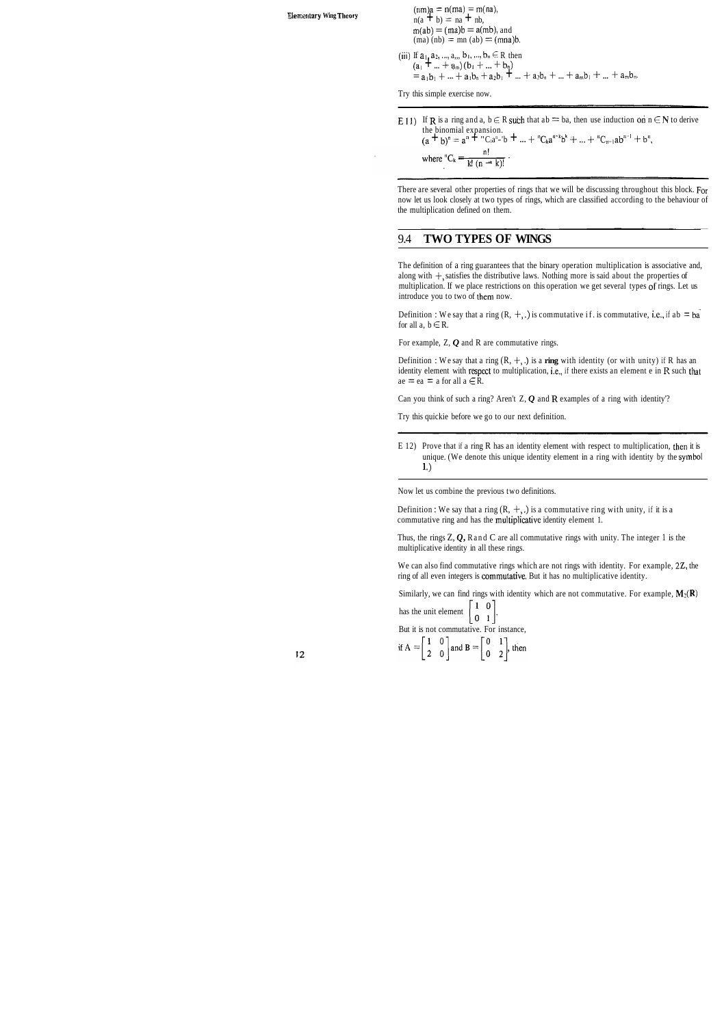**Elementary Wing Theory**  $(mn)a = n(ma) = m(na)$ ,<br> $n(a + b) = n(a + nb)$  $n(a + b) = na + nb$ ,  $m(ab) = (ma)b = a(mb)$ , and  $(ma) (nb) = mn (ab) = (mna)b$ .

> (iii) If  $a_1, a_2, ..., a_n, b_1, ..., b_n \in R$  then  $(a_1 + ... + a_m)(b_1 + ... + b_n)$  $=$ a<sub>1</sub>b<sub>1</sub> + ... + a<sub>1</sub>b<sub>n</sub> + a<sub>2</sub>b<sub>1</sub> + ... + a<sub>2</sub>b<sub>n</sub> + ... + a<sub>n</sub>b<sub>1</sub> + ... + a<sub>n</sub>b<sub>n</sub>.

There are several other properties of rings that we will be discussing throughout this block. For now let us look closely at two types of rings, which are classified according to the behaviour of the multiplication defined on them.  $\frac{1}{\sqrt{1-\frac{1}{\sqrt{1-\frac{1}{\sqrt{1-\frac{1}{\sqrt{1-\frac{1}{\sqrt{1-\frac{1}{\sqrt{1-\frac{1}{\sqrt{1-\frac{1}{\sqrt{1-\frac{1}{\sqrt{1-\frac{1}{\sqrt{1-\frac{1}{\sqrt{1-\frac{1}{\sqrt{1-\frac{1}{\sqrt{1-\frac{1}{\sqrt{1-\frac{1}{\sqrt{1-\frac{1}{\sqrt{1-\frac{1}{\sqrt{1-\frac{1}{\sqrt{1-\frac{1}{\sqrt{1-\frac{1}{\sqrt{1-\frac{1}{\sqrt{1-\frac{1}{\sqrt{1-\frac{1}{\sqrt{1-\frac{1}{\sqrt{1-\frac{1$ 

Try this simple exercise now.

E 11) If **R** is a ring and a,  $b \in R$  such that ab = ba, then use induction on  $n \in N$  to derive the binomial expansion.<br>(a + b)<sup>n</sup> = a<sup>n</sup> + "C<sub>l</sub>a<sup>n</sup>-'b + ... + "C<sub>k</sub>a<sup>n-k</sup>b<sup>k</sup> + ... + "C<sub>n-l</sub>ab<sup>n-1</sup> + b",

where  ${}^nC_k = \frac{n!}{k! (n-k)!}$ .

#### 9.4 **TWO TYPES OF WINGS**

The definition of a ring guarantees that the binary operation multiplication is associative and, along with  $+$ , satisfies the distributive laws. Nothing more is said about the properties of multiplication. If we place restrictions on this operation we get several types of rings. Let us introduce you to two of them now.

Definition : We say that a ring  $(R, +, .)$  is commutative if. is commutative, i.e., if ab = ba for all a,  $b \in R$ .

For example, Z, Q and R are commutative rings.

Definition : We say that a ring  $(R, +, \cdot)$  is a ring with identity (or with unity) if R has an identity element with respect to multiplication, i.e., if there exists an element e in **R** such that  $ae = ea = a$  for all  $a \in R$ .

Thus, the rings  $Z, Q$ , R and C are all commutative rings with unity. The integer 1 is the multiplicative identity in all these rings.

We can also find commutative rings which are not rings with identity. For example, 22, the ring of all even integers is commutative. But it has no multiplicative identity.

Similarly, we can find rings with identity which are not commutative. For example,  $M_2(R)$ 

has the unit element  $\begin{bmatrix} 1 & 0 \\ 0 & 1 \end{bmatrix}$ .

Can you think of such a ring? Aren't Z, *Q* and **R** examples of a ring with identity'?

Try this quickie before we go to our next definition.

E 12) Prove that if a ring R has an identity element with respect to multiplication, then it is unique. (We denote this unique identity element in a ring with identity by the symbol 1 .)

Now let us combine the previous two definitions.

Definition : We say that a ring  $(R, +, .)$  is a commutative ring with unity, if it is a commutative ring and has the multiplicative identity element 1.

But it is not commutative. For instance,

if  $A = \begin{bmatrix} 1 & 0 \\ 2 & 0 \end{bmatrix}$  and  $B = \begin{bmatrix} 0 & 1 \\ 0 & 2 \end{bmatrix}$ , then

 $12$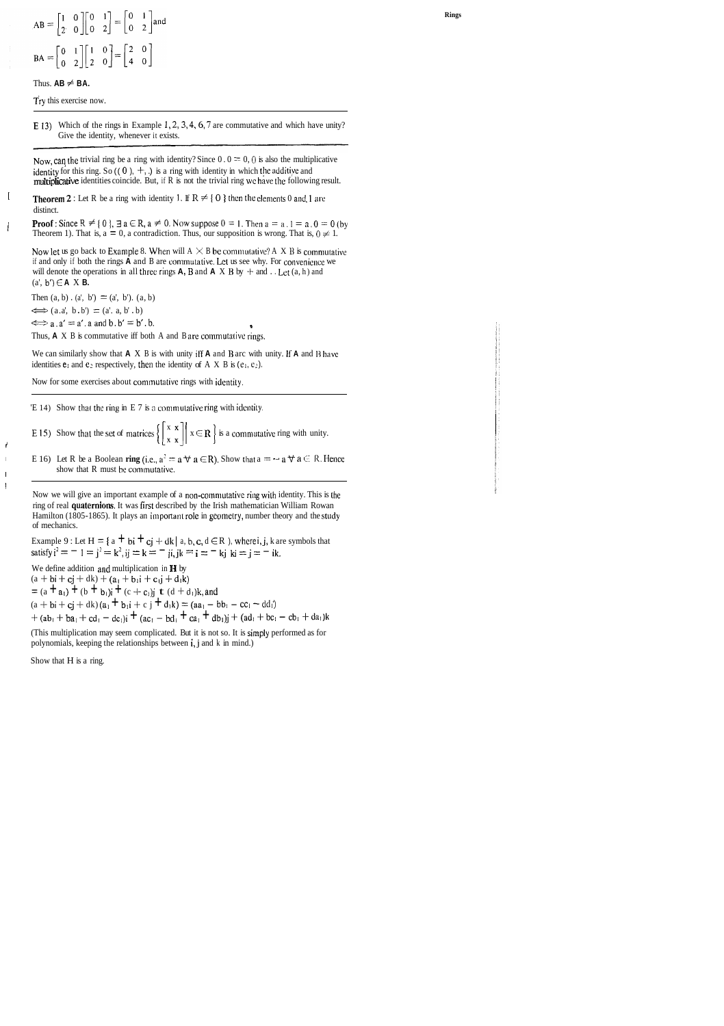# $AB = \begin{bmatrix} 1 & 0 \\ 2 & 0 \end{bmatrix} \begin{bmatrix} 0 & 1 \\ 0 & 2 \end{bmatrix} = \begin{bmatrix} 0 & 1 \\ 0 & 2 \end{bmatrix}$  and  $BA = \begin{bmatrix} 0 & 1 \\ 0 & 2 \end{bmatrix} \begin{bmatrix} 1 & 0 \\ 2 & 0 \end{bmatrix} = \begin{bmatrix} 2 & 0 \\ 4 & 0 \end{bmatrix}$

#### Thus.  $AB \neq BA$ .

 $\overline{1}$ 

 $\overline{\phantom{a}}$ 

 $\epsilon$ 

 $\mathbf{I}$ 

 $\mathbf{I}$  $\mathbf{I}$ 

Try this exercise now.

E 13) Which of the rings in Example 1, 2, 3, 4, 6, 7 are commutative and which have unity? Give the identity, whenever it exists.

Now, can the trivial ring be a ring with identity? Since  $0.0 = 0.0$  is also the multiplicative identity for this ring. So  $((0), +)$ , is a ring with identity in which the additive and multiplicative identities coincide. But, if R is not the trivial ring we have the following result.

**Theorem 2**: Let R be a ring with identity 1. If  $R \neq \{0\}$  then the elements 0 and 1 are distinct.

**Proof**: Since R  $\neq$  { 0 },  $\exists$  a  $\in$  R, a  $\neq$  0. Now suppose  $0 = 1$ . Then  $a = a, 1 = a, 0 = 0$  (by Theorem 1). That is,  $a = 0$ , a contradiction. Thus, our supposition is wrong. That is,  $0 \neq 1$ .

Now let us go back to Example 8. When will  $A \times B$  be commutative? A X B is commutative if and only if both the rings A and B are commutative. Let us see why. For convenience we will denote the operations in all three rings  $A$ ,  $B$  and  $A \times B$  by  $+$  and  $\ldots$  Let  $(a, h)$  and  $(a', b') \in A \times B$ .

Then  $(a, b) \cdot (a', b') = (a', b') \cdot (a, b)$ 

 $\iff$  (a.a', b.b') = (a', a, b', b)  $\iff$  a. a' = a'. a and b. b' = b'. b.

Thus,  $A \times B$  is commutative iff both A and B are commutative rings,

We can similarly show that  $A \times B$  is with unity iff  $A$  and  $B$  arc with unity. If  $A$  and  $B$  have identities  $e_i$  and  $e_2$  respectively, then the identity of A X B is  $(e_1, e_2)$ .

Now for some exercises about commutative rings with identity.

 $E$  14) Show that the ring in E 7 is a commutative ring with identity.

E 15) Show that the set of matrices  $\left\{ \begin{bmatrix} x & x \\ x & x \end{bmatrix} \mid x \in \mathbb{R} \right\}$  is a commutative ring with unity.

E 16) Let R be a Boolean ring (i.e.,  $a^2 = a \forall a \in R$ ). Show that  $a = -a \forall a \in R$ . Hence show that R must be commutative.

Now we will give an important example of a non-commutative ring with identity. This is the ring of real quaternions. It was first described by the Irish mathematician William Rowan Hamilton (1805-1865). It plays an important role in geometry, number theory and the study of mechanics.

Example 9 : Let H = { a + bi + cj + dk | a, b, c, d  $\in$  R ), where i, j, k are symbols that satisfy  $i^2 = -1 = j^2 = k^2$ ,  $ij = k = -ji$ , jk = i = - kj ki = j = - ik.

We define addition and multiplication in H by  $(a + bi + cj + dk) + (a_1 + b_1i + c_1j + d_1k)$ =  $(a + a_1) + (b + b_1)i + (c + c_1)j + (d + d_1)k$ , and  $(a + bi + cj + dk) (a_1 + b_1i + cj + d_1k) = (aa_1 - bb_1 - cc_1 - dd_1)$ +  $(ab_1 + ba_1 + cd_1 - dc_1)i + (ac_1 - bd_1 + ca_1 + db_1)j + (ad_1 + bc_1 - cb_1 + da_1)k$ 

(This multiplication may seem complicated. But it is not so. It is simply performed as for polynomials, keeping the relationships between i, j and k in mind.)

Show that H is a ring.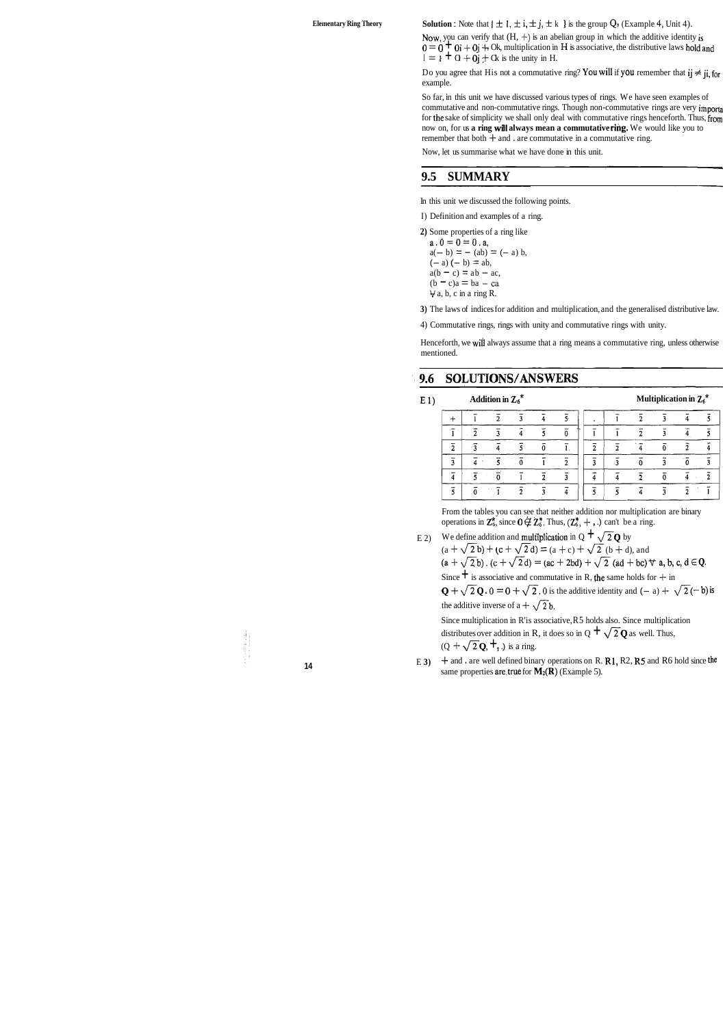**Elementary Ring Theory Solution :** Note that  $\{\pm 1, \pm i, \pm j, \pm k \}$  is the group  $Q_N$  (Example 4, Unit 4).

Now, you can verify that  $(H, +)$  is an abelian group in which the additive identity is  $0 = 0 + 0i + 0j + 0k$ , multiplication in **H** is associative, the distributive laws hold and  $I = \iota + \mathbf{0} + \mathbf{0} + \mathbf{0} + \mathbf{0}$  is the unity in H.

Do you agree that His not a commutative ring? You will if you remember that  $i j \neq j i$ , for example.

So far, in this unit we have discussed various types of rings. We have seen examples of commutative and non-commutative rings. Though non-commutative rings are very importa for the sake of simplicity we shall only deal with commutative rings henceforth. Thus, from now on, for us **a ring will always mean a commutative rihg.** We would like you to remember that both  $+$  and . are commutative in a commutative ring.

Henceforth, we will always assume that a ring means a commutative ring, unless otherwise mentioned.

#### 9.6 SOLUTIONS/ANSWERS

**E** 1) **Addition in**  $Z_6^*$  **<b>Multiplication in**  $Z_6^*$ 

|   | n              |  |  |  |  |  |
|---|----------------|--|--|--|--|--|
| ◠ |                |  |  |  |  |  |
| ۰ |                |  |  |  |  |  |
|   | $\sim$         |  |  |  |  |  |
|   | <b>COLLECT</b> |  |  |  |  |  |

From the tables you can see that neither addition nor multiplication are binary operations in  $\mathbb{Z}_6^*$ , since  $0 \notin \mathbb{Z}_6^*$ . Thus,  $(\mathbb{Z}_6^*$ ,  $+$ , .) can't be a ring.

E 2) We define addition and multiplication in  $Q + \sqrt{2}Q$  by  $(a + \sqrt{2}b) + (c + \sqrt{2}d) = (a + c) + \sqrt{2} (b + d)$ , and  $(a + \sqrt{2}b)$ .  $(c + \sqrt{2}d) = (ac + 2bd) + \sqrt{2} (ad + bc) \forall a, b, c, d \in \mathbb{Q}$ . Since  $\dot{+}$  is associative and commutative in R, the same holds for  $+$  in

 $Q + \sqrt{2}Q$ .  $0 = 0 + \sqrt{2}$ . 0 is the additive identity and  $(-a) + \sqrt{2}(-b)$  is the additive inverse of a +  $\sqrt{2}$  b.

Now, let us summarise what we have done in this unit.

### **9.5 SUMMARY**

In this unit we discussed the following points.

I) Definition and examples of a ring.

Since multiplication in R'is associative, R5 holds also. Since multiplication distributes over addition in R, it does so in Q  $+$   $\sqrt{2}$ **Q** as well. Thus,  $(Q + \sqrt{2}Q, \pm)$  is a ring.

**2)** Some properties of a ring like

 $a \cdot 0 = 0 = 0$ .a,  $a(- b) = - (ab) = (- a) b,$  $(- a) (- b) = ab,$  $a(b - c) = ab - ac$  $(b - c)a = ba - ca$  $\forall$  a, b, c in a ring R.

**<sup>14</sup>**E **3)** 4- and . are well defined binary operations on R. R1, R2, R5 and R6 hold since the same properties are true for  $M_2(R)$  (Example 5).

**3)** The laws of indices for addition and multiplication, and the generalised distributive law.

4) Commutative rings, rings with unity and commutative rings with unity.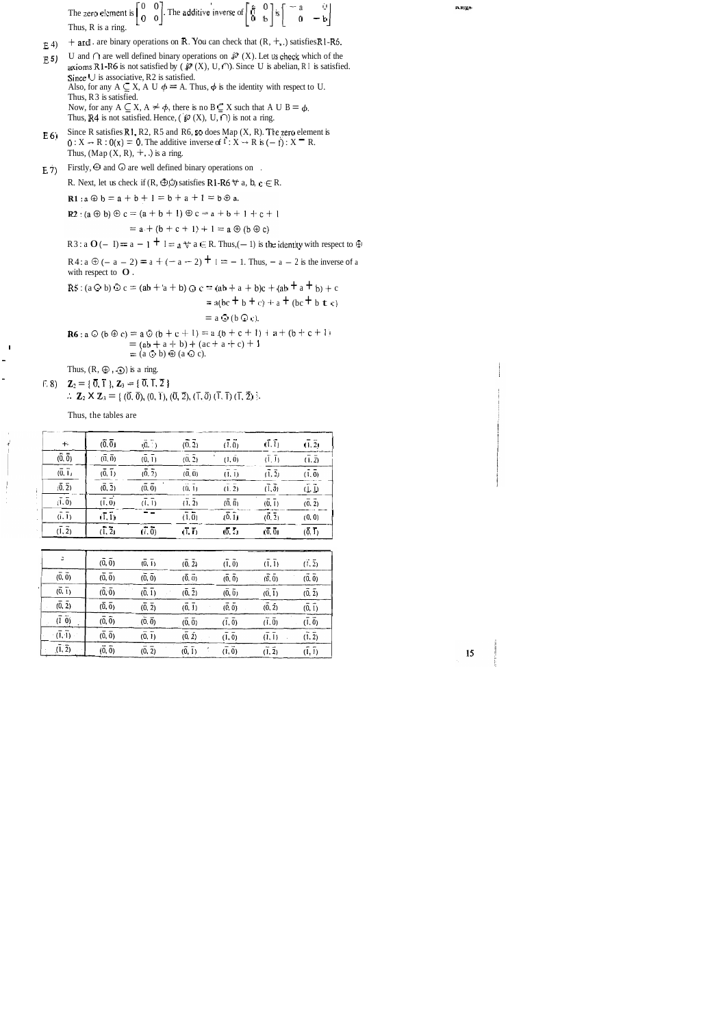The zero element is  $\begin{bmatrix} 0 & 0 \\ 0 & 0 \end{bmatrix}$ . The additive inverse of  $\begin{bmatrix} 8 & 0 \\ 0 & 1 \end{bmatrix}$  is Thus, R is a ring.

- E 4)  $f{+}$  and . are binary operations on R. You can check that  $(R, +, .)$  satisfies RI-R6.
- **E** 5) U and  $\cap$  are well defined binary operations on  $\mathcal{P}(X)$ . Let us check which of the axioms R1-R6 is not satisfied by ( $\mathcal{O}(X)$ , U,  $\cap$ ). Since U is abelian, R1 is satisfied. Since  $\cup$  is associative, R2 is satisfied. Also, for any  $A \subseteq X$ , A U  $\phi = A$ . Thus,  $\phi$  is the identity with respect to U. Thus, R3 is satisfied. Now, for any  $A \subseteq X$ ,  $A \neq \phi$ , there is no  $B \subseteq X$  such that A U  $B = \phi$ . Thus, R4 is not satisfied. Hence, ( $\mathscr{D}(X)$ , U,  $\cap$ ) is not a ring.
- E 6) Since R satisfies R1, R2, R5 and R6, so does Map  $(X, R)$ . The zero element is  $0: X \rightarrow R: 0(x) = 0$ . The additive inverse of  $f: X \rightarrow R$  is  $(-f): X \rightarrow R$ . Thus,  $(\text{Map}(X, R), +, \cdot)$  is a ring.
- E 7) Firstly,  $\oplus$  and  $\odot$  are well defined binary operations on.

R. Next, let us check if  $(R, \Theta)$  satisfies R1-R6  $\forall$  a, b, c  $\in$  R.

**R1**:  $a \oplus b = a + b + 1 = b + a + 1 = b \oplus a$ .

R2 : (a  $\oplus$  b)  $\oplus$  c = (a + b + 1)  $\oplus$  c = a + b + 1 + c + 1

 $= a + (b + c + 1) + 1 = a \oplus (b \oplus c)$ <br>R3 : a  $O(-1) = a - 1 + 1 = a \oplus a \in R$ . Thus,(-1) is the identity with respect to  $\oplus$ 

R4:  $a \oplus (-a - 2) = a + (-a - 2) + 1 = -1$ . Thus,  $-a - 2$  is the inverse of a with respect to  $O$ .

**R5** : (a  $\odot$  b)  $\odot$  c = (ab + 'a + b)  $\odot$  c = (ab + a + b)c + (ab + a + b) + c

$$
= a(bc + b + c) + a + (bc + b + c)
$$

 $=$  a  $\odot$  (b  $\odot$  c).

$$
\begin{array}{l}\n\mathbf{R6}: \mathbf{a} \odot (\mathbf{b} \oplus \mathbf{c}) = \mathbf{a} \odot (\mathbf{b} + \mathbf{c} + 1) = \mathbf{a} \cdot (\mathbf{b} + \mathbf{c} + 1) + \mathbf{a} + (\mathbf{b} + \mathbf{c} + 1) \\
= (\mathbf{a} \mathbf{b} + \mathbf{a} + \mathbf{b}) + (\mathbf{a} \mathbf{c} + \mathbf{a} + \mathbf{c}) + 1 \\
= (\mathbf{a} \odot \mathbf{b}) \oplus (\mathbf{a} \odot \mathbf{c}).\n\end{array}
$$

Thus,  $(R, \oplus, \odot)$  is a ring.<br>  $\mathcal{L}_2 = \{ \overline{0}, \overline{1} \}, \mathbf{Z}_3 = \{ \overline{0}, \overline{1}, \overline{2} \}$ :. **Z**<sub>2</sub> **X Z**<sub>3</sub> = { $(\vec{0}, \vec{0}), (\vec{0}, \vec{1}), (\vec{0}, \vec{2}), (\vec{1}, \vec{0})$  $(\vec{1}, \vec{1})$  $(\vec{1}, \vec{2})$  }.

Thus, the tables are

| $+$                            | (0, 0)                         | (0, 1)                         | (0, 2)                         | (1, 0)                         | $(\overline{1}, \overline{1})$ | (1, 2)                         |
|--------------------------------|--------------------------------|--------------------------------|--------------------------------|--------------------------------|--------------------------------|--------------------------------|
| (0, 0)                         | $(\overline{0}, \overline{0})$ | $(\overline{0}, \overline{1})$ | (0, 2)                         | $(\tilde{1}, \tilde{0})$       | $(\overline{1}, \overline{1})$ | $(\bar{1}, \bar{2})$           |
| $\overline{(0,1)}$             | (0, 1)                         | (0, 2)                         | $(\overline{0}, \overline{0})$ | $(\overline{1}, \overline{1})$ | (1, 2)                         | (1, 0)                         |
| $(\overline{0}, \overline{2})$ | $(\overline{0}, \overline{2})$ | $(\overline{0}, \overline{0})$ | (0, 1)                         | $m \rightarrow n$<br>(1, 2)    | $(\overline{1}, \overline{0})$ | $(\overline{l}, \overline{l})$ |
| $(\overline{1}, \overline{0})$ | $(\overline{1}, \overline{0})$ | $(\overline{1}, \overline{1})$ | (1, 2)                         | (0, 0)                         | (0, 1)                         | (0, 2)                         |
| $(\overline{1}, \overline{1})$ | $(\overline{1}, \overline{1})$ |                                | $(\overline{1}, \overline{0})$ | (0, 1)                         | (0, 2)                         | (0, 0)                         |
| (1, 2)                         | $(\overline{1}, \overline{2})$ | (1, 0)                         | $(\overline{1}, \overline{1})$ | $(\overline{0}, \overline{2})$ | (0, 0)                         | (0, 1)                         |

|                                | (0, 0)                         | (0, 1) | (0, 2)               | (1, 0)         | (1, 1) | (1, 2) |
|--------------------------------|--------------------------------|--------|----------------------|----------------|--------|--------|
| $(\overline{0}, \overline{0})$ | $(\overline{0}, \overline{0})$ | (0, 0) | (0, 0)               | (0, 0)         | (0, 0) | (0, 0) |
| (0, 1)                         | $(\overline{0}, \overline{0})$ | (0, 1) | $(\bar{0}, \bar{2})$ | (0, 0)         | (0, 1) | (0, 2) |
| (0, 2)                         | $(\overline{0}, \overline{0})$ | (0, 2) | (0, 1)               | (0, 0)         | (0, 2) | (0, 1) |
| $(1 \ 0)$                      | $(\overline{0}, \overline{0})$ | (0, 0) | (0, 0)               | (1, 0)         | (1.0)  | (1, 0) |
| $(\bar{1}, \bar{1})$           | $(\overline{0}, \overline{0})$ | (0, 1) | (0, 2)               | (1, 0)         | (1, 1) | (1, 2) |
| (1, 2)                         | (0, 0)                         | (0, 2) | $(\bar{0}, \bar{1})$ | $(\bar{1}, 0)$ | (1, 2) | (1, 1) |

Amgo

15